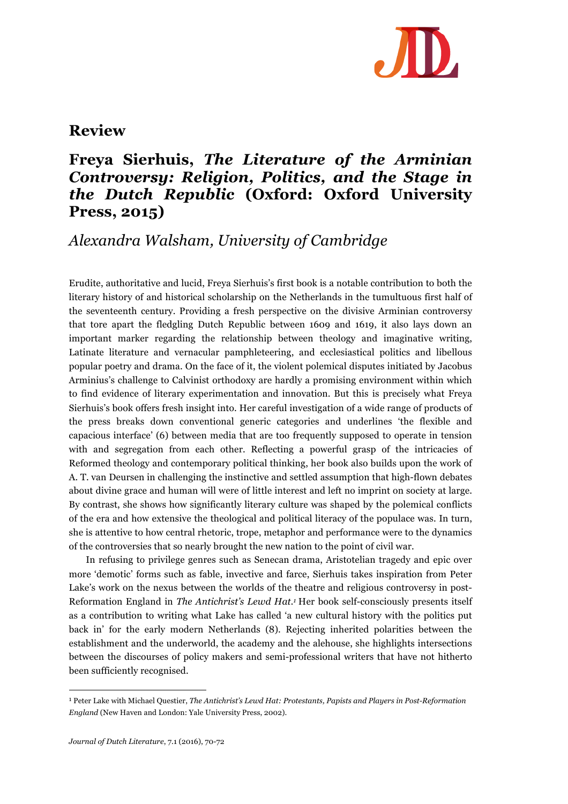

## **Review**

## **Freya Sierhuis,** *The Literature of the Arminian Controversy: Religion, Politics, and the Stage in the Dutch Republic* **(Oxford: Oxford University Press, 2015)**

## *Alexandra Walsham, University of Cambridge*

Erudite, authoritative and lucid, Freya Sierhuis's first book is a notable contribution to both the literary history of and historical scholarship on the Netherlands in the tumultuous first half of the seventeenth century. Providing a fresh perspective on the divisive Arminian controversy that tore apart the fledgling Dutch Republic between 1609 and 1619, it also lays down an important marker regarding the relationship between theology and imaginative writing, Latinate literature and vernacular pamphleteering, and ecclesiastical politics and libellous popular poetry and drama. On the face of it, the violent polemical disputes initiated by Jacobus Arminius's challenge to Calvinist orthodoxy are hardly a promising environment within which to find evidence of literary experimentation and innovation. But this is precisely what Freya Sierhuis's book offers fresh insight into. Her careful investigation of a wide range of products of the press breaks down conventional generic categories and underlines 'the flexible and capacious interface' (6) between media that are too frequently supposed to operate in tension with and segregation from each other. Reflecting a powerful grasp of the intricacies of Reformed theology and contemporary political thinking, her book also builds upon the work of A. T. van Deursen in challenging the instinctive and settled assumption that high-flown debates about divine grace and human will were of little interest and left no imprint on society at large. By contrast, she shows how significantly literary culture was shaped by the polemical conflicts of the era and how extensive the theological and political literacy of the populace was. In turn, she is attentive to how central rhetoric, trope, metaphor and performance were to the dynamics of the controversies that so nearly brought the new nation to the point of civil war.

In refusing to privilege genres such as Senecan drama, Aristotelian tragedy and epic over more 'demotic' forms such as fable, invective and farce, Sierhuis takes inspiration from Peter Lake's work on the nexus between the worlds of the theatre and religious controversy in post-Reformation England in *The Antichrist's Lewd Hat.1* Her book self-consciously presents itself as a contribution to writing what Lake has called 'a new cultural history with the politics put back in' for the early modern Netherlands (8). Rejecting inherited polarities between the establishment and the underworld, the academy and the alehouse, she highlights intersections between the discourses of policy makers and semi-professional writers that have not hitherto been sufficiently recognised.

 

<sup>1</sup> Peter Lake with Michael Questier, *The Antichrist's Lewd Hat: Protestants, Papists and Players in Post-Reformation England* (New Haven and London: Yale University Press, 2002).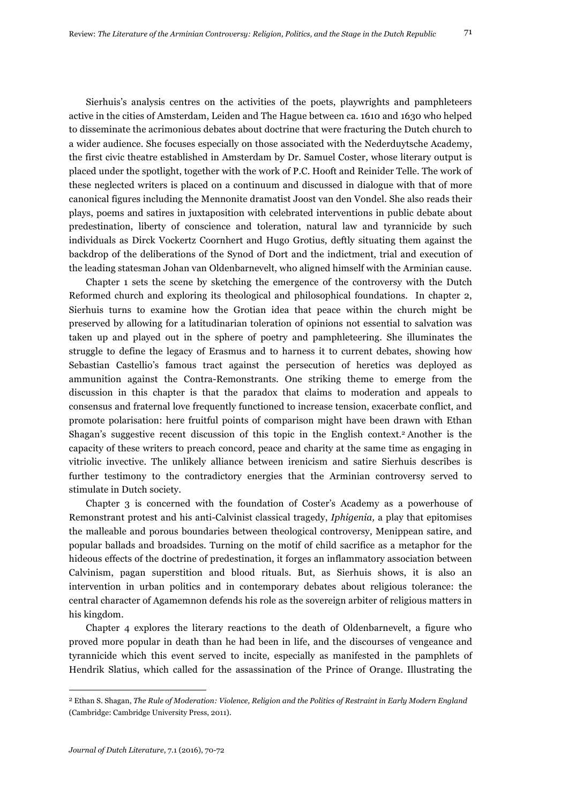Sierhuis's analysis centres on the activities of the poets, playwrights and pamphleteers active in the cities of Amsterdam, Leiden and The Hague between ca. 1610 and 1630 who helped to disseminate the acrimonious debates about doctrine that were fracturing the Dutch church to a wider audience. She focuses especially on those associated with the Nederduytsche Academy, the first civic theatre established in Amsterdam by Dr. Samuel Coster, whose literary output is placed under the spotlight, together with the work of P.C. Hooft and Reinider Telle. The work of these neglected writers is placed on a continuum and discussed in dialogue with that of more canonical figures including the Mennonite dramatist Joost van den Vondel. She also reads their plays, poems and satires in juxtaposition with celebrated interventions in public debate about predestination, liberty of conscience and toleration, natural law and tyrannicide by such individuals as Dirck Vockertz Coornhert and Hugo Grotius, deftly situating them against the backdrop of the deliberations of the Synod of Dort and the indictment, trial and execution of the leading statesman Johan van Oldenbarnevelt, who aligned himself with the Arminian cause.

Chapter 1 sets the scene by sketching the emergence of the controversy with the Dutch Reformed church and exploring its theological and philosophical foundations. In chapter 2, Sierhuis turns to examine how the Grotian idea that peace within the church might be preserved by allowing for a latitudinarian toleration of opinions not essential to salvation was taken up and played out in the sphere of poetry and pamphleteering. She illuminates the struggle to define the legacy of Erasmus and to harness it to current debates, showing how Sebastian Castellio's famous tract against the persecution of heretics was deployed as ammunition against the Contra-Remonstrants. One striking theme to emerge from the discussion in this chapter is that the paradox that claims to moderation and appeals to consensus and fraternal love frequently functioned to increase tension, exacerbate conflict, and promote polarisation: here fruitful points of comparison might have been drawn with Ethan Shagan's suggestive recent discussion of this topic in the English context.2 Another is the capacity of these writers to preach concord, peace and charity at the same time as engaging in vitriolic invective. The unlikely alliance between irenicism and satire Sierhuis describes is further testimony to the contradictory energies that the Arminian controversy served to stimulate in Dutch society.

Chapter 3 is concerned with the foundation of Coster's Academy as a powerhouse of Remonstrant protest and his anti-Calvinist classical tragedy, *Iphigenia,* a play that epitomises the malleable and porous boundaries between theological controversy, Menippean satire, and popular ballads and broadsides. Turning on the motif of child sacrifice as a metaphor for the hideous effects of the doctrine of predestination, it forges an inflammatory association between Calvinism, pagan superstition and blood rituals. But, as Sierhuis shows, it is also an intervention in urban politics and in contemporary debates about religious tolerance: the central character of Agamemnon defends his role as the sovereign arbiter of religious matters in his kingdom.

Chapter 4 explores the literary reactions to the death of Oldenbarnevelt, a figure who proved more popular in death than he had been in life, and the discourses of vengeance and tyrannicide which this event served to incite, especially as manifested in the pamphlets of Hendrik Slatius, which called for the assassination of the Prince of Orange. Illustrating the

 

<sup>2</sup> Ethan S. Shagan, *The Rule of Moderation: Violence, Religion and the Politics of Restraint in Early Modern England*  (Cambridge: Cambridge University Press, 2011).